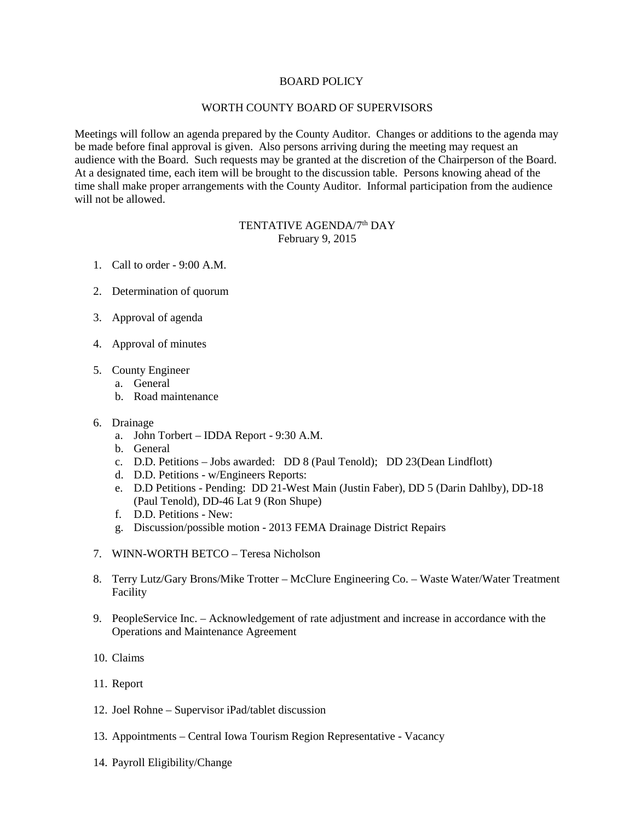## BOARD POLICY

## WORTH COUNTY BOARD OF SUPERVISORS

Meetings will follow an agenda prepared by the County Auditor. Changes or additions to the agenda may be made before final approval is given. Also persons arriving during the meeting may request an audience with the Board. Such requests may be granted at the discretion of the Chairperson of the Board. At a designated time, each item will be brought to the discussion table. Persons knowing ahead of the time shall make proper arrangements with the County Auditor. Informal participation from the audience will not be allowed.

## TENTATIVE AGENDA/7<sup>th</sup> DAY February 9, 2015

- 1. Call to order 9:00 A.M.
- 2. Determination of quorum
- 3. Approval of agenda
- 4. Approval of minutes
- 5. County Engineer
	- a. General
	- b. Road maintenance
- 6. Drainage
	- a. John Torbert IDDA Report 9:30 A.M.
	- b. General
	- c. D.D. Petitions Jobs awarded: DD 8 (Paul Tenold); DD 23(Dean Lindflott)
	- d. D.D. Petitions w/Engineers Reports:
	- e. D.D Petitions Pending: DD 21-West Main (Justin Faber), DD 5 (Darin Dahlby), DD-18 (Paul Tenold), DD-46 Lat 9 (Ron Shupe)
	- f. D.D. Petitions New:
	- g. Discussion/possible motion 2013 FEMA Drainage District Repairs
- 7. WINN-WORTH BETCO Teresa Nicholson
- 8. Terry Lutz/Gary Brons/Mike Trotter McClure Engineering Co. Waste Water/Water Treatment Facility
- 9. PeopleService Inc. Acknowledgement of rate adjustment and increase in accordance with the Operations and Maintenance Agreement
- 10. Claims
- 11. Report
- 12. Joel Rohne Supervisor iPad/tablet discussion
- 13. Appointments Central Iowa Tourism Region Representative Vacancy
- 14. Payroll Eligibility/Change